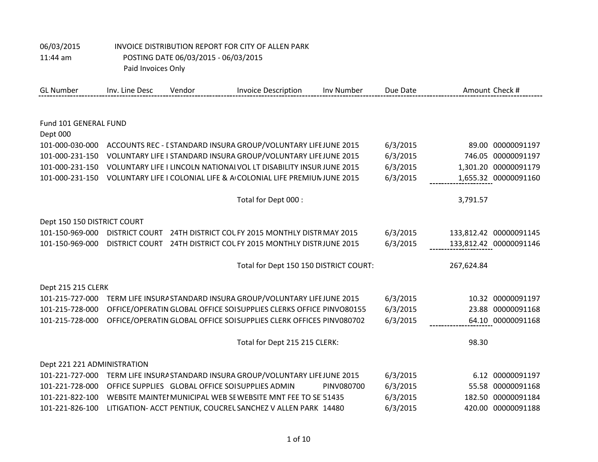| 11:44 am                    | Paid Invoices Only    | POSTING DATE 06/03/2015 - 06/03/2015            |                                                                     |            |          |            |                        |
|-----------------------------|-----------------------|-------------------------------------------------|---------------------------------------------------------------------|------------|----------|------------|------------------------|
| <b>GL Number</b>            | Inv. Line Desc        | Vendor                                          | <b>Invoice Description</b>                                          | Inv Number | Due Date |            | Amount Check #         |
|                             |                       |                                                 |                                                                     |            |          |            |                        |
| Fund 101 GENERAL FUND       |                       |                                                 |                                                                     |            |          |            |                        |
| Dept 000                    |                       |                                                 |                                                                     |            |          |            |                        |
| 101-000-030-000             |                       |                                                 | ACCOUNTS REC - I STANDARD INSURA GROUP/VOLUNTARY LIFE JUNE 2015     |            | 6/3/2015 |            | 89.00 00000091197      |
| 101-000-231-150             |                       |                                                 | VOLUNTARY LIFE I STANDARD INSURA GROUP/VOLUNTARY LIFE JUNE 2015     |            | 6/3/2015 |            | 746.05 00000091197     |
| 101-000-231-150             |                       |                                                 | VOLUNTARY LIFE I LINCOLN NATIONAL VOL LT DISABILITY INSUR JUNE 2015 |            | 6/3/2015 |            | 1,301.20 00000091179   |
| 101-000-231-150             |                       |                                                 | VOLUNTARY LIFE I COLONIAL LIFE & A COLONIAL LIFE PREMIUN JUNE 2015  |            | 6/3/2015 |            | 1,655.32 00000091160   |
|                             |                       |                                                 | Total for Dept 000 :                                                |            |          | 3,791.57   |                        |
| Dept 150 150 DISTRICT COURT |                       |                                                 |                                                                     |            |          |            |                        |
| 101-150-969-000             | <b>DISTRICT COURT</b> |                                                 | 24TH DISTRICT COL FY 2015 MONTHLY DISTR MAY 2015                    |            | 6/3/2015 |            | 133,812.42 00000091145 |
| 101-150-969-000             | <b>DISTRICT COURT</b> |                                                 | 24TH DISTRICT COL FY 2015 MONTHLY DISTRJUNE 2015                    |            | 6/3/2015 |            | 133,812.42 00000091146 |
|                             |                       |                                                 | Total for Dept 150 150 DISTRICT COURT:                              |            |          | 267,624.84 |                        |
| Dept 215 215 CLERK          |                       |                                                 |                                                                     |            |          |            |                        |
| 101-215-727-000             |                       |                                                 | TERM LIFE INSURA STANDARD INSURA GROUP/VOLUNTARY LIFE JUNE 2015     |            | 6/3/2015 |            | 10.32 00000091197      |
| 101-215-728-000             |                       |                                                 | OFFICE/OPERATIN GLOBAL OFFICE SOISUPPLIES CLERKS OFFICE PINVO80155  |            | 6/3/2015 |            | 23.88 00000091168      |
| 101-215-728-000             |                       |                                                 | OFFICE/OPERATIN GLOBAL OFFICE SOI SUPPLIES CLERK OFFICES PINV080702 |            | 6/3/2015 |            | 64.10 00000091168      |
|                             |                       |                                                 | Total for Dept 215 215 CLERK:                                       |            |          | 98.30      |                        |
| Dept 221 221 ADMINISTRATION |                       |                                                 |                                                                     |            |          |            |                        |
| 101-221-727-000             |                       |                                                 | TERM LIFE INSURA STANDARD INSURA GROUP/VOLUNTARY LIFE JUNE 2015     |            | 6/3/2015 |            | 6.12 00000091197       |
| 101-221-728-000             |                       | OFFICE SUPPLIES GLOBAL OFFICE SOISUPPLIES ADMIN |                                                                     | PINV080700 | 6/3/2015 |            | 55.58 00000091168      |
| 101-221-822-100             |                       |                                                 | WEBSITE MAINTEI MUNICIPAL WEB SE WEBSITE MNT FEE TO SE 51435        |            | 6/3/2015 |            | 182.50 00000091184     |
| 101-221-826-100             |                       |                                                 | LITIGATION- ACCT PENTIUK, COUCREL SANCHEZ V ALLEN PARK 14480        |            | 6/3/2015 |            | 420.00 00000091188     |

06/03/2015 INVOICE DISTRIBUTION REPORT FOR CITY OF ALLEN PARK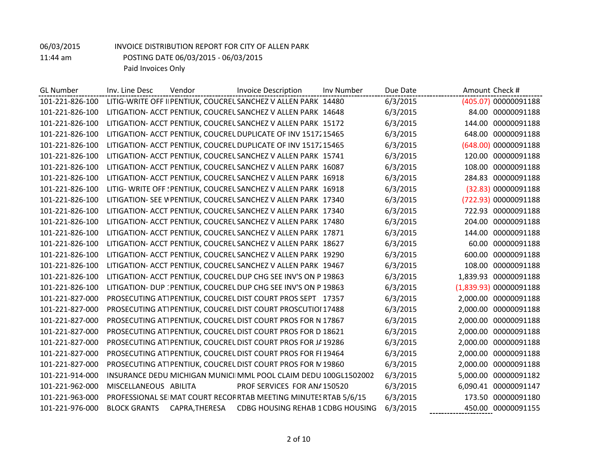| <b>GL Number</b> | Inv. Line Desc        | Vendor         | <b>Invoice Description</b>                                       | Inv Number | Due Date | Amount Check # |                        |
|------------------|-----------------------|----------------|------------------------------------------------------------------|------------|----------|----------------|------------------------|
| 101-221-826-100  |                       |                | LITIG-WRITE OFF II PENTIUK, COUCREL SANCHEZ V ALLEN PARK 14480   |            | 6/3/2015 |                | (405.07) 00000091188   |
| 101-221-826-100  |                       |                | LITIGATION- ACCT PENTIUK, COUCREL SANCHEZ V ALLEN PARK 14648     |            | 6/3/2015 |                | 84.00 00000091188      |
| 101-221-826-100  |                       |                | LITIGATION- ACCT PENTIUK, COUCREL SANCHEZ V ALLEN PARK 15172     |            | 6/3/2015 |                | 144.00 00000091188     |
| 101-221-826-100  |                       |                | LITIGATION- ACCT PENTIUK, COUCREL DUPLICATE OF INV 1517215465    |            | 6/3/2015 |                | 648.00 00000091188     |
| 101-221-826-100  |                       |                | LITIGATION- ACCT PENTIUK, COUCREL DUPLICATE OF INV 1517215465    |            | 6/3/2015 |                | (648.00) 00000091188   |
| 101-221-826-100  |                       |                | LITIGATION- ACCT PENTIUK, COUCREL SANCHEZ V ALLEN PARK 15741     |            | 6/3/2015 | 120.00         | 00000091188            |
| 101-221-826-100  |                       |                | LITIGATION- ACCT PENTIUK, COUCREL SANCHEZ V ALLEN PARK 16087     |            | 6/3/2015 | 108.00         | 00000091188            |
| 101-221-826-100  |                       |                | LITIGATION- ACCT PENTIUK, COUCREL SANCHEZ V ALLEN PARK 16918     |            | 6/3/2015 |                | 284.83 00000091188     |
| 101-221-826-100  |                       |                | LITIG- WRITE OFF ! PENTIUK, COUCREL SANCHEZ V ALLEN PARK 16918   |            | 6/3/2015 |                | (32.83) 00000091188    |
| 101-221-826-100  |                       |                | LITIGATION- SEE W PENTIUK, COUCREL SANCHEZ V ALLEN PARK 17340    |            | 6/3/2015 |                | (722.93) 00000091188   |
| 101-221-826-100  |                       |                | LITIGATION- ACCT PENTIUK, COUCREL SANCHEZ V ALLEN PARK 17340     |            | 6/3/2015 |                | 722.93 00000091188     |
| 101-221-826-100  |                       |                | LITIGATION- ACCT PENTIUK, COUCREL SANCHEZ V ALLEN PARK 17480     |            | 6/3/2015 |                | 204.00 00000091188     |
| 101-221-826-100  |                       |                | LITIGATION- ACCT PENTIUK, COUCREL SANCHEZ V ALLEN PARK 17871     |            | 6/3/2015 | 144.00         | 00000091188            |
| 101-221-826-100  |                       |                | LITIGATION- ACCT PENTIUK, COUCREL SANCHEZ V ALLEN PARK 18627     |            | 6/3/2015 | 60.00          | 00000091188            |
| 101-221-826-100  |                       |                | LITIGATION- ACCT PENTIUK, COUCREL SANCHEZ V ALLEN PARK 19290     |            | 6/3/2015 | 600.00         | 00000091188            |
| 101-221-826-100  |                       |                | LITIGATION- ACCT PENTIUK, COUCREL SANCHEZ V ALLEN PARK 19467     |            | 6/3/2015 |                | 108.00 00000091188     |
| 101-221-826-100  |                       |                | LITIGATION- ACCT PENTIUK, COUCREL DUP CHG SEE INV'S ON P 19863   |            | 6/3/2015 | 1,839.93       | 00000091188            |
| 101-221-826-100  |                       |                | LITIGATION- DUP : PENTIUK, COUCREL DUP CHG SEE INV'S ON P 19863  |            | 6/3/2015 |                | (1,839.93) 00000091188 |
| 101-221-827-000  |                       |                | PROSECUTING ATTPENTIUK, COUCREL DIST COURT PROS SEPT 17357       |            | 6/3/2015 |                | 2,000.00 00000091188   |
| 101-221-827-000  |                       |                | PROSECUTING ATTPENTIUK, COUCREL DIST COURT PROSCUTIOI 17488      |            | 6/3/2015 |                | 2,000.00 00000091188   |
| 101-221-827-000  |                       |                | PROSECUTING ATTPENTIUK, COUCREL DIST COURT PROS FOR N 17867      |            | 6/3/2015 |                | 2,000.00 00000091188   |
| 101-221-827-000  |                       |                | PROSECUTING ATTPENTIUK, COUCREL DIST COURT PROS FOR D 18621      |            | 6/3/2015 | 2,000.00       | 00000091188            |
| 101-221-827-000  |                       |                | PROSECUTING ATTPENTIUK, COUCREL DIST COURT PROS FOR J/ 19286     |            | 6/3/2015 |                | 2,000.00 00000091188   |
| 101-221-827-000  |                       |                | PROSECUTING ATTPENTIUK, COUCREL DIST COURT PROS FOR FI 19464     |            | 6/3/2015 |                | 2,000.00 00000091188   |
| 101-221-827-000  |                       |                | PROSECUTING ATTPENTIUK, COUCREL DIST COURT PROS FOR N 19860      |            | 6/3/2015 |                | 2,000.00 00000091188   |
| 101-221-914-000  |                       |                | INSURANCE DEDU MICHIGAN MUNICI MML POOL CLAIM DEDU 100GL1502002  |            | 6/3/2015 | 5,000.00       | 00000091182            |
| 101-221-962-000  | MISCELLANEOUS ABILITA |                | PROF SERVICES FOR AN/ 150520                                     |            | 6/3/2015 |                | 6,090.41 00000091147   |
| 101-221-963-000  |                       |                | PROFESSIONAL SE MAT COURT RECOF RTAB MEETING MINUTES RTAB 5/6/15 |            | 6/3/2015 |                | 173.50 00000091180     |
| 101-221-976-000  | <b>BLOCK GRANTS</b>   | CAPRA, THERESA | CDBG HOUSING REHAB 1 CDBG HOUSING                                |            | 6/3/2015 |                | 450.00 00000091155     |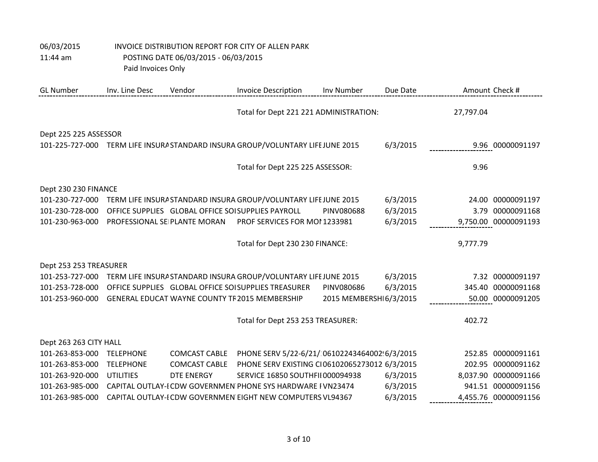| <b>GL Number</b>       | Inv. Line Desc       | Vendor                       | <b>Invoice Description</b>                                                      | Inv Number             | Due Date |           | Amount Check #       |  |  |  |
|------------------------|----------------------|------------------------------|---------------------------------------------------------------------------------|------------------------|----------|-----------|----------------------|--|--|--|
|                        |                      |                              | Total for Dept 221 221 ADMINISTRATION:                                          |                        |          | 27,797.04 |                      |  |  |  |
| Dept 225 225 ASSESSOR  |                      |                              |                                                                                 |                        |          |           |                      |  |  |  |
|                        |                      |                              | 101-225-727-000 TERM LIFE INSURA STANDARD INSURA GROUP/VOLUNTARY LIFE JUNE 2015 |                        | 6/3/2015 |           | 9.96 00000091197     |  |  |  |
|                        |                      |                              | Total for Dept 225 225 ASSESSOR:                                                |                        |          | 9.96      |                      |  |  |  |
|                        | Dept 230 230 FINANCE |                              |                                                                                 |                        |          |           |                      |  |  |  |
| 101-230-727-000        |                      |                              | TERM LIFE INSURA STANDARD INSURA GROUP/VOLUNTARY LIFE JUNE 2015                 |                        | 6/3/2015 |           | 24.00 00000091197    |  |  |  |
| 101-230-728-000        |                      |                              | OFFICE SUPPLIES GLOBAL OFFICE SOI SUPPLIES PAYROLL                              | PINV080688             | 6/3/2015 | 3.79      | 00000091168          |  |  |  |
| 101-230-963-000        |                      | PROFESSIONAL SE PLANTE MORAN | PROF SERVICES FOR MOI 1233981                                                   |                        | 6/3/2015 |           | 9,750.00 00000091193 |  |  |  |
|                        |                      |                              | Total for Dept 230 230 FINANCE:                                                 |                        |          | 9,777.79  |                      |  |  |  |
| Dept 253 253 TREASURER |                      |                              |                                                                                 |                        |          |           |                      |  |  |  |
| 101-253-727-000        |                      |                              | TERM LIFE INSURA STANDARD INSURA GROUP/VOLUNTARY LIFE JUNE 2015                 |                        | 6/3/2015 |           | 7.32 00000091197     |  |  |  |
| 101-253-728-000        |                      |                              | OFFICE SUPPLIES GLOBAL OFFICE SOI SUPPLIES TREASURER                            | PINV080686             | 6/3/2015 | 345.40    | 00000091168          |  |  |  |
| 101-253-960-000        |                      |                              | <b>GENERAL EDUCAT WAYNE COUNTY TF 2015 MEMBERSHIP</b>                           | 2015 MEMBERSHI6/3/2015 |          |           | 50.00 00000091205    |  |  |  |
|                        |                      |                              | Total for Dept 253 253 TREASURER:                                               |                        |          | 402.72    |                      |  |  |  |
| Dept 263 263 CITY HALL |                      |                              |                                                                                 |                        |          |           |                      |  |  |  |
| 101-263-853-000        | <b>TELEPHONE</b>     | <b>COMCAST CABLE</b>         | PHONE SERV 5/22-6/21/ 06102243464002 6/3/2015                                   |                        |          |           | 252.85 00000091161   |  |  |  |
| 101-263-853-000        | <b>TELEPHONE</b>     | <b>COMCAST CABLE</b>         | PHONE SERV EXISTING CI06102065273012 6/3/2015                                   |                        |          | 202.95    | 00000091162          |  |  |  |
| 101-263-920-000        | <b>UTILITIES</b>     | <b>DTE ENERGY</b>            | SERVICE 16850 SOUTHFII 000094938                                                |                        | 6/3/2015 | 8,037.90  | 00000091166          |  |  |  |
| 101-263-985-000        |                      |                              | CAPITAL OUTLAY-I CDW GOVERNMEN PHONE SYS HARDWARE I VN23474                     |                        | 6/3/2015 |           | 941.51 00000091156   |  |  |  |
| 101-263-985-000        |                      |                              | CAPITAL OUTLAY-I CDW GOVERNMEN EIGHT NEW COMPUTERS VL94367                      |                        | 6/3/2015 |           | 4,455.76 00000091156 |  |  |  |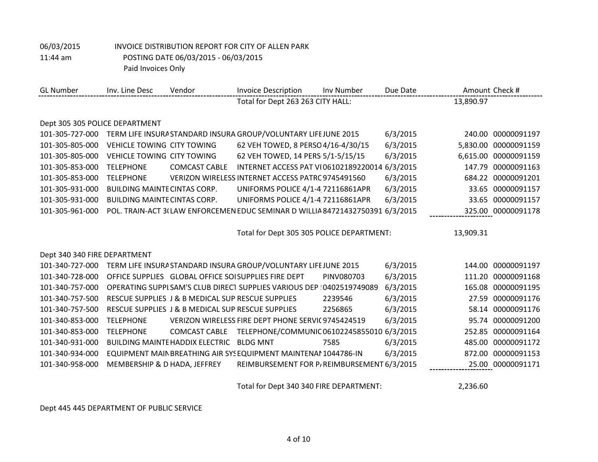## 06/03/2015 INVOICE DISTRIBUTION REPORT FOR CITY OF ALLEN PARK 11:44 am POSTING DATE 06/03/2015 - 06/03/2015

Paid Invoices Only

| <b>GL Number</b>               | Inv. Line Desc                      | Vendor                                            | <b>Invoice Description</b>                                                    | Inv Number | Due Date | Amount Check # |                    |
|--------------------------------|-------------------------------------|---------------------------------------------------|-------------------------------------------------------------------------------|------------|----------|----------------|--------------------|
|                                |                                     |                                                   | Total for Dept 263 263 CITY HALL:                                             |            |          | 13,890.97      |                    |
|                                |                                     |                                                   |                                                                               |            |          |                |                    |
| Dept 305 305 POLICE DEPARTMENT |                                     |                                                   |                                                                               |            |          |                |                    |
| 101-305-727-000                |                                     |                                                   | TERM LIFE INSURA STANDARD INSURA GROUP/VOLUNTARY LIFE JUNE 2015               |            | 6/3/2015 | 240.00         | 00000091197        |
| 101-305-805-000                | <b>VEHICLE TOWING CITY TOWING</b>   |                                                   | 62 VEH TOWED, 8 PERSO 4/16-4/30/15                                            |            | 6/3/2015 | 5,830.00       | 00000091159        |
| 101-305-805-000                | <b>VEHICLE TOWING CITY TOWING</b>   |                                                   | 62 VEH TOWED, 14 PERS 5/1-5/15/15                                             |            | 6/3/2015 | 6,615.00       | 00000091159        |
| 101-305-853-000                | <b>TELEPHONE</b>                    | <b>COMCAST CABLE</b>                              | INTERNET ACCESS PAT VI06102189220014 6/3/2015                                 |            |          | 147.79         | 00000091163        |
| 101-305-853-000                | <b>TELEPHONE</b>                    |                                                   | VERIZON WIRELESS INTERNET ACCESS PATRC 9745491560                             |            | 6/3/2015 | 684.22         | 00000091201        |
| 101-305-931-000                | <b>BUILDING MAINTE CINTAS CORP.</b> |                                                   | UNIFORMS POLICE 4/1-4 72116861APR                                             |            | 6/3/2015 | 33.65          | 00000091157        |
| 101-305-931-000                | <b>BUILDING MAINTE CINTAS CORP.</b> |                                                   | UNIFORMS POLICE 4/1-4 72116861APR                                             |            | 6/3/2015 | 33.65          | 00000091157        |
| 101-305-961-000                |                                     |                                                   | POL. TRAIN-ACT 3(LAW ENFORCEMEN EDUC SEMINAR D WILLIA 84721432750391 6/3/2015 |            |          |                | 325.00 00000091178 |
|                                |                                     |                                                   |                                                                               |            |          |                |                    |
|                                |                                     |                                                   | Total for Dept 305 305 POLICE DEPARTMENT:                                     |            |          | 13,909.31      |                    |
|                                |                                     |                                                   |                                                                               |            |          |                |                    |
| Dept 340 340 FIRE DEPARTMENT   |                                     |                                                   |                                                                               |            |          |                |                    |
| 101-340-727-000                |                                     |                                                   | TERM LIFE INSURA STANDARD INSURA GROUP/VOLUNTARY LIFE JUNE 2015               |            | 6/3/2015 |                | 144.00 00000091197 |
| 101-340-728-000                |                                     |                                                   | OFFICE SUPPLIES GLOBAL OFFICE SOI SUPPLIES FIRE DEPT                          | PINV080703 | 6/3/2015 | 111.20         | 00000091168        |
| 101-340-757-000                |                                     |                                                   | OPERATING SUPPI SAM'S CLUB DIRECT SUPPLIES VARIOUS DEP 10402519749089         |            | 6/3/2015 | 165.08         | 00000091195        |
| 101-340-757-500                |                                     | RESCUE SUPPLIES J & B MEDICAL SUP RESCUE SUPPLIES |                                                                               | 2239546    | 6/3/2015 | 27.59          | 00000091176        |
| 101-340-757-500                |                                     | RESCUE SUPPLIES J & B MEDICAL SUP RESCUE SUPPLIES |                                                                               | 2256865    | 6/3/2015 | 58.14          | 00000091176        |
| 101-340-853-000                | <b>TELEPHONE</b>                    |                                                   | VERIZON WIRELESS FIRE DEPT PHONE SERVIC 9745424519                            |            | 6/3/2015 | 95.74          | 00000091200        |
| 101-340-853-000                | <b>TELEPHONE</b>                    | <b>COMCAST CABLE</b>                              | TELEPHONE/COMMUNIC 06102245855010 6/3/2015                                    |            |          | 252.85         | 00000091164        |
| 101-340-931-000                |                                     | <b>BUILDING MAINTE HADDIX ELECTRIC</b>            | <b>BLDG MNT</b>                                                               | 7585       | 6/3/2015 | 485.00         | 00000091172        |
| 101-340-934-000                |                                     |                                                   | EQUIPMENT MAIN BREATHING AIR SYS EQUIPMENT MAINTENAI 1044786-IN               |            | 6/3/2015 | 872.00         | 00000091153        |
| 101-340-958-000                | MEMBERSHIP & D HADA, JEFFREY        |                                                   | REIMBURSEMENT FOR P/REIMBURSEMENT 6/3/2015                                    |            |          |                | 25.00 00000091171  |

Total for Dept 340 340 FIRE DEPARTMENT: 2,236.60

Dept 445 445 DEPARTMENT OF PUBLIC SERVICE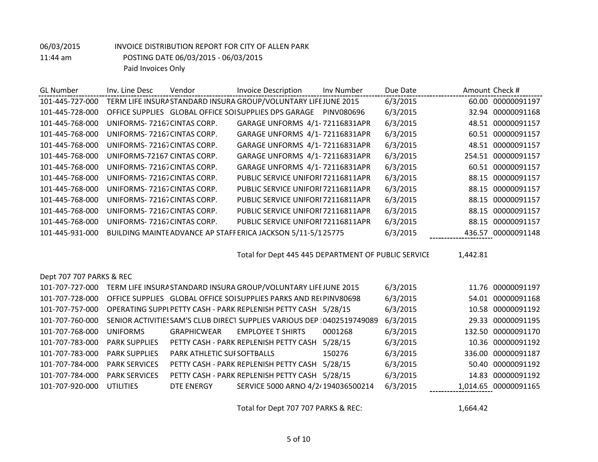| <b>GL Number</b> | Inv. Line Desc              | Vendor | <b>Invoice Description</b>                                      | Inv Number | Due Date |        | Amount Check #     |
|------------------|-----------------------------|--------|-----------------------------------------------------------------|------------|----------|--------|--------------------|
| 101-445-727-000  |                             |        | TERM LIFE INSURA STANDARD INSURA GROUP/VOLUNTARY LIFE JUNE 2015 |            | 6/3/2015 |        | 60.00 00000091197  |
| 101-445-728-000  |                             |        | OFFICE SUPPLIES GLOBAL OFFICE SOI SUPPLIES DPS GARAGE           | PINV080696 | 6/3/2015 |        | 32.94 00000091168  |
| 101-445-768-000  | UNIFORMS-72167 CINTAS CORP. |        | GARAGE UNFORMS 4/1-72116831APR                                  |            | 6/3/2015 | 48.51  | 00000091157        |
| 101-445-768-000  | UNIFORMS-72167 CINTAS CORP. |        | GARAGE UNFORMS 4/1-72116831APR                                  |            | 6/3/2015 | 60.51  | 00000091157        |
| 101-445-768-000  | UNIFORMS-72167 CINTAS CORP. |        | GARAGE UNFORMS 4/1-72116831APR                                  |            | 6/3/2015 | 48.51  | 00000091157        |
| 101-445-768-000  | UNIFORMS-72167 CINTAS CORP. |        | GARAGE UNFORMS 4/1-72116831APR                                  |            | 6/3/2015 |        | 254.51 00000091157 |
| 101-445-768-000  | UNIFORMS-72167 CINTAS CORP. |        | GARAGE UNFORMS 4/1-72116831APR                                  |            | 6/3/2015 |        | 60.51 00000091157  |
| 101-445-768-000  | UNIFORMS-72167 CINTAS CORP. |        | PUBLIC SERVICE UNIFORI 72116811APR                              |            | 6/3/2015 | 88.15  | 00000091157        |
| 101-445-768-000  | UNIFORMS-72167 CINTAS CORP. |        | PUBLIC SERVICE UNIFORI 72116811APR                              |            | 6/3/2015 |        | 88.15 00000091157  |
| 101-445-768-000  | UNIFORMS-72167 CINTAS CORP. |        | PUBLIC SERVICE UNIFORI 72116811APR                              |            | 6/3/2015 |        | 88.15 00000091157  |
| 101-445-768-000  | UNIFORMS-72167 CINTAS CORP. |        | PUBLIC SERVICE UNIFORI 72116811APR                              |            | 6/3/2015 | 88.15  | 00000091157        |
| 101-445-768-000  | UNIFORMS-72167 CINTAS CORP. |        | PUBLIC SERVICE UNIFORI 72116811APR                              |            | 6/3/2015 |        | 88.15 00000091157  |
| 101-445-931-000  |                             |        | BUILDING MAINTE ADVANCE AP STAFF ERICA JACKSON 5/11-5/125775    |            | 6/3/2015 | 436.57 | 00000091148        |

Total for Dept 445 445 DEPARTMENT OF PUBLIC SERVICE 1,442.81

| Dept 707 707 PARKS & REC |                      |                             |                                                                         |         |          |                      |
|--------------------------|----------------------|-----------------------------|-------------------------------------------------------------------------|---------|----------|----------------------|
| 101-707-727-000          |                      |                             | TERM LIFE INSURA STANDARD INSURA GROUP/VOLUNTARY LIFE JUNE 2015         |         | 6/3/2015 | 11.76 00000091197    |
| 101-707-728-000          |                      |                             | OFFICE SUPPLIES GLOBAL OFFICE SOI SUPPLIES PARKS AND REI PINV80698      |         | 6/3/2015 | 54.01 00000091168    |
| 101-707-757-000          |                      |                             | OPERATING SUPPL PETTY CASH - PARK REPLENISH PETTY CASH 5/28/15          |         | 6/3/2015 | 10.58 00000091192    |
| 101-707-760-000          |                      |                             | SENIOR ACTIVITIES SAM'S CLUB DIRECT SUPPLIES VARIOUS DEP 10402519749089 |         | 6/3/2015 | 29.33 00000091195    |
| 101-707-768-000          | <b>UNIFORMS</b>      | <b>GRAPHICWEAR</b>          | <b>EMPLOYEE T SHIRTS</b>                                                | 0001268 | 6/3/2015 | 132.50 00000091170   |
| 101-707-783-000          | <b>PARK SUPPLIFS</b> |                             | PETTY CASH - PARK REPLENISH PETTY CASH                                  | 5/28/15 | 6/3/2015 | 10.36 00000091192    |
| 101-707-783-000          | <b>PARK SUPPLIFS</b> | PARK ATHLETIC SUI SOFTBALLS |                                                                         | 150276  | 6/3/2015 | 336.00 00000091187   |
| 101-707-784-000          | <b>PARK SERVICES</b> |                             | PETTY CASH - PARK REPLENISH PETTY CASH                                  | 5/28/15 | 6/3/2015 | 50.40 00000091192    |
| 101-707-784-000          | <b>PARK SERVICES</b> |                             | PETTY CASH - PARK REPLENISH PETTY CASH                                  | 5/28/15 | 6/3/2015 | 14.83 00000091192    |
| 101-707-920-000          | UTILITIES            | DTE ENERGY                  | SERVICE 5000 ARNO 4/2 <sup>2</sup> 194036500214                         |         | 6/3/2015 | 1,014.65 00000091165 |

Total for Dept 707 707 PARKS & REC: 1,664.42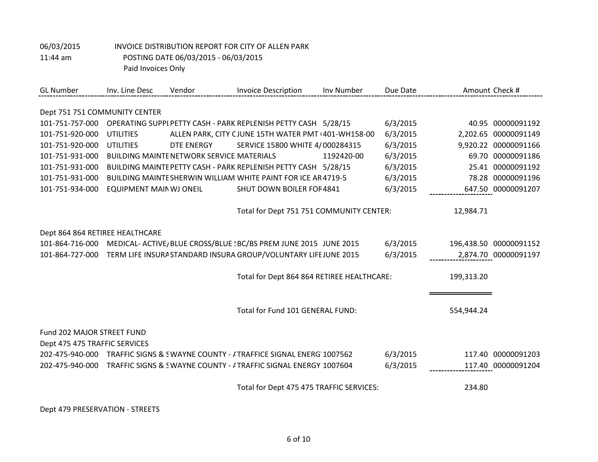| <b>GL Number</b>                | Inv. Line Desc                 | Vendor                                           | <b>Invoice Description</b>                                        | Inv Number | Due Date | Amount Check # |                        |
|---------------------------------|--------------------------------|--------------------------------------------------|-------------------------------------------------------------------|------------|----------|----------------|------------------------|
|                                 |                                |                                                  |                                                                   |            |          |                |                        |
| Dept 751 751 COMMUNITY CENTER   |                                |                                                  |                                                                   |            |          |                |                        |
| 101-751-757-000                 |                                |                                                  | OPERATING SUPPI PETTY CASH - PARK REPLENISH PETTY CASH 5/28/15    |            | 6/3/2015 |                | 40.95 00000091192      |
| 101-751-920-000                 | <b>UTILITIES</b>               |                                                  | ALLEN PARK, CITY CJUNE 15TH WATER PMT +401-WH158-00               |            | 6/3/2015 |                | 2,202.65 00000091149   |
| 101-751-920-000                 | <b>UTILITIES</b>               | DTE ENERGY                                       | SERVICE 15800 WHITE 4/000284315                                   |            | 6/3/2015 |                | 9,920.22 00000091166   |
| 101-751-931-000                 |                                | <b>BUILDING MAINTE NETWORK SERVICE MATERIALS</b> |                                                                   | 1192420-00 | 6/3/2015 |                | 69.70 00000091186      |
| 101-751-931-000                 |                                |                                                  | BUILDING MAINTE PETTY CASH - PARK REPLENISH PETTY CASH 5/28/15    |            | 6/3/2015 |                | 25.41 00000091192      |
| 101-751-931-000                 |                                |                                                  | BUILDING MAINTE SHERWIN WILLIAM WHITE PAINT FOR ICE AR 4719-5     |            | 6/3/2015 |                | 78.28 00000091196      |
| 101-751-934-000                 | <b>EQUIPMENT MAIN WJ ONEIL</b> |                                                  | SHUT DOWN BOILER FOF 4841                                         |            | 6/3/2015 |                | 647.50 00000091207     |
|                                 |                                |                                                  |                                                                   |            |          |                |                        |
|                                 |                                |                                                  | Total for Dept 751 751 COMMUNITY CENTER:                          |            |          | 12,984.71      |                        |
| Dept 864 864 RETIREE HEALTHCARE |                                |                                                  |                                                                   |            |          |                |                        |
| 101-864-716-000                 |                                |                                                  | MEDICAL- ACTIVE/ BLUE CROSS/BLUE : BC/BS PREM JUNE 2015 JUNE 2015 |            | 6/3/2015 |                | 196,438.50 00000091152 |
| 101-864-727-000                 |                                |                                                  | TERM LIFE INSURA STANDARD INSURA GROUP/VOLUNTARY LIFE JUNE 2015   |            | 6/3/2015 |                | 2,874.70 00000091197   |
|                                 |                                |                                                  |                                                                   |            |          |                |                        |
|                                 |                                |                                                  | Total for Dept 864 864 RETIREE HEALTHCARE:                        |            |          | 199,313.20     |                        |
|                                 |                                |                                                  |                                                                   |            |          |                |                        |
|                                 |                                |                                                  | Total for Fund 101 GENERAL FUND:                                  |            |          | 554,944.24     |                        |
| Fund 202 MAJOR STREET FUND      |                                |                                                  |                                                                   |            |          |                |                        |
| Dept 475 475 TRAFFIC SERVICES   |                                |                                                  |                                                                   |            |          |                |                        |
| 202-475-940-000                 |                                |                                                  | TRAFFIC SIGNS & SWAYNE COUNTY - / TRAFFICE SIGNAL ENERG 1007562   |            | 6/3/2015 |                | 117.40 00000091203     |
| 202-475-940-000                 |                                |                                                  | TRAFFIC SIGNS & SWAYNE COUNTY - / TRAFFIC SIGNAL ENERGY 1007604   |            | 6/3/2015 |                | 117.40 00000091204     |
|                                 |                                |                                                  |                                                                   |            |          |                |                        |
|                                 |                                |                                                  | Total for Dept 475 475 TRAFFIC SERVICES:                          |            |          | 234.80         |                        |

Dept 479 PRESERVATION - STREETS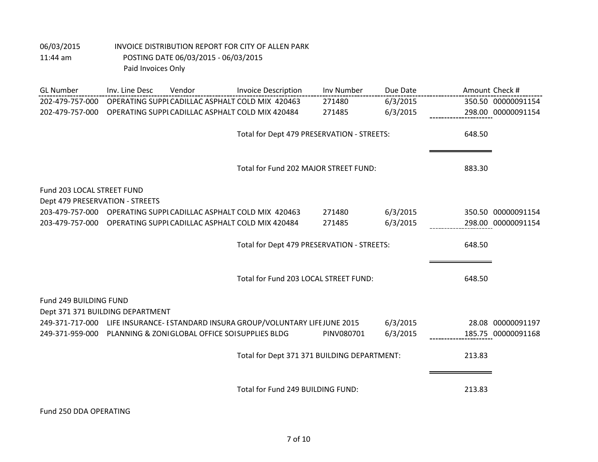| <b>GL Number</b>                 | Inv. Line Desc | Vendor                                                           | <b>Invoice Description</b>                                                      | Inv Number | Due Date | Amount Check # |                    |
|----------------------------------|----------------|------------------------------------------------------------------|---------------------------------------------------------------------------------|------------|----------|----------------|--------------------|
| 202-479-757-000                  |                | OPERATING SUPPI CADILLAC ASPHALT COLD MIX 420463                 |                                                                                 | 271480     | 6/3/2015 |                | 350.50 00000091154 |
| 202-479-757-000                  |                | OPERATING SUPPI CADILLAC ASPHALT COLD MIX 420484                 |                                                                                 | 271485     | 6/3/2015 |                | 298.00 00000091154 |
|                                  |                |                                                                  |                                                                                 |            |          |                |                    |
|                                  |                |                                                                  | Total for Dept 479 PRESERVATION - STREETS:                                      |            |          | 648.50         |                    |
|                                  |                |                                                                  |                                                                                 |            |          |                |                    |
|                                  |                |                                                                  | Total for Fund 202 MAJOR STREET FUND:                                           |            |          | 883.30         |                    |
|                                  |                |                                                                  |                                                                                 |            |          |                |                    |
| Fund 203 LOCAL STREET FUND       |                |                                                                  |                                                                                 |            |          |                |                    |
| Dept 479 PRESERVATION - STREETS  |                |                                                                  |                                                                                 |            |          |                |                    |
|                                  |                | 203-479-757-000 OPERATING SUPPI CADILLAC ASPHALT COLD MIX 420463 |                                                                                 | 271480     | 6/3/2015 |                | 350.50 00000091154 |
|                                  |                | 203-479-757-000 OPERATING SUPPI CADILLAC ASPHALT COLD MIX 420484 |                                                                                 | 271485     | 6/3/2015 |                | 298.00 00000091154 |
|                                  |                |                                                                  |                                                                                 |            |          |                |                    |
|                                  |                |                                                                  | Total for Dept 479 PRESERVATION - STREETS:                                      |            |          | 648.50         |                    |
|                                  |                |                                                                  |                                                                                 |            |          |                |                    |
|                                  |                |                                                                  | Total for Fund 203 LOCAL STREET FUND:                                           |            |          | 648.50         |                    |
|                                  |                |                                                                  |                                                                                 |            |          |                |                    |
| Fund 249 BUILDING FUND           |                |                                                                  |                                                                                 |            |          |                |                    |
| Dept 371 371 BUILDING DEPARTMENT |                |                                                                  |                                                                                 |            |          |                |                    |
|                                  |                |                                                                  | 249-371-717-000 LIFE INSURANCE- ESTANDARD INSURA GROUP/VOLUNTARY LIFE JUNE 2015 |            | 6/3/2015 |                | 28.08 00000091197  |
|                                  |                | 249-371-959-000 PLANNING & ZONIGLOBAL OFFICE SOISUPPLIES BLDG    |                                                                                 | PINV080701 | 6/3/2015 |                | 185.75 00000091168 |
|                                  |                |                                                                  |                                                                                 |            |          |                |                    |
|                                  |                |                                                                  | Total for Dept 371 371 BUILDING DEPARTMENT:                                     |            |          | 213.83         |                    |
|                                  |                |                                                                  |                                                                                 |            |          |                |                    |
|                                  |                |                                                                  | Total for Fund 249 BUILDING FUND:                                               |            |          | 213.83         |                    |
|                                  |                |                                                                  |                                                                                 |            |          |                |                    |

Fund 250 DDA OPERATING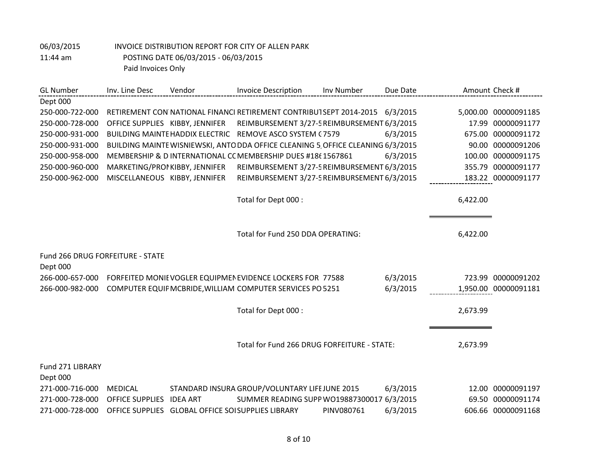| <b>GL Number</b>                 | Inv. Line Desc                  | Vendor                                             | <b>Invoice Description</b>                                                      | Inv Number | Due Date |          | Amount Check #       |
|----------------------------------|---------------------------------|----------------------------------------------------|---------------------------------------------------------------------------------|------------|----------|----------|----------------------|
| Dept 000                         |                                 |                                                    |                                                                                 |            |          |          |                      |
| 250-000-722-000                  |                                 |                                                    | RETIREMENT CON NATIONAL FINANCI RETIREMENT CONTRIBUT SEPT 2014-2015             |            | 6/3/2015 | 5,000.00 | 00000091185          |
| 250-000-728-000                  | OFFICE SUPPLIES KIBBY, JENNIFER |                                                    | REIMBURSEMENT 3/27-5 REIMBURSEMENT 6/3/2015                                     |            |          | 17.99    | 00000091177          |
| 250-000-931-000                  |                                 | <b>BUILDING MAINTE HADDIX ELECTRIC</b>             | REMOVE ASCO SYSTEM (7579                                                        |            | 6/3/2015 | 675.00   | 00000091172          |
| 250-000-931-000                  |                                 |                                                    | BUILDING MAINTE WISNIEWSKI, ANTO DDA OFFICE CLEANING 5 OFFICE CLEANING 6/3/2015 |            |          | 90.00    | 00000091206          |
| 250-000-958-000                  |                                 |                                                    | MEMBERSHIP & DINTERNATIONAL CC MEMBERSHIP DUES #18(1567861                      |            | 6/3/2015 | 100.00   | 00000091175          |
| 250-000-960-000                  | MARKETING/PROMKIBBY, JENNIFER   |                                                    | REIMBURSEMENT 3/27-5 REIMBURSEMENT 6/3/2015                                     |            |          | 355.79   | 00000091177          |
| 250-000-962-000                  | MISCELLANEOUS KIBBY, JENNIFER   |                                                    | REIMBURSEMENT 3/27-5 REIMBURSEMENT 6/3/2015                                     |            |          |          | 183.22 00000091177   |
|                                  |                                 |                                                    |                                                                                 |            |          |          |                      |
|                                  |                                 |                                                    | Total for Dept 000 :                                                            |            |          | 6,422.00 |                      |
|                                  |                                 |                                                    |                                                                                 |            |          |          |                      |
|                                  |                                 |                                                    |                                                                                 |            |          |          |                      |
|                                  |                                 |                                                    | Total for Fund 250 DDA OPERATING:                                               |            |          | 6,422.00 |                      |
| Fund 266 DRUG FORFEITURE - STATE |                                 |                                                    |                                                                                 |            |          |          |                      |
| Dept 000                         |                                 |                                                    |                                                                                 |            |          |          |                      |
| 266-000-657-000                  |                                 |                                                    | FORFEITED MONIE VOGLER EQUIPMEN EVIDENCE LOCKERS FOR 77588                      |            | 6/3/2015 | 723.99   | 00000091202          |
| 266-000-982-000                  |                                 |                                                    | COMPUTER EQUIF MCBRIDE, WILLIAM COMPUTER SERVICES PO 5251                       |            | 6/3/2015 |          | 1,950.00 00000091181 |
|                                  |                                 |                                                    |                                                                                 |            |          |          |                      |
|                                  |                                 |                                                    | Total for Dept 000 :                                                            |            |          | 2,673.99 |                      |
|                                  |                                 |                                                    |                                                                                 |            |          |          |                      |
|                                  |                                 |                                                    |                                                                                 |            |          |          |                      |
|                                  |                                 |                                                    | Total for Fund 266 DRUG FORFEITURE - STATE:                                     |            |          | 2,673.99 |                      |
|                                  |                                 |                                                    |                                                                                 |            |          |          |                      |
| Fund 271 LIBRARY                 |                                 |                                                    |                                                                                 |            |          |          |                      |
| Dept 000                         |                                 |                                                    |                                                                                 |            |          |          |                      |
| 271-000-716-000                  | <b>MEDICAL</b>                  |                                                    | STANDARD INSURA GROUP/VOLUNTARY LIFE JUNE 2015                                  |            | 6/3/2015 | 12.00    | 00000091197          |
| 271-000-728-000                  | <b>OFFICE SUPPLIES</b>          | <b>IDEA ART</b>                                    | SUMMER READING SUPP WO19887300017                                               |            | 6/3/2015 | 69.50    | 00000091174          |
| 271-000-728-000                  |                                 | OFFICE SUPPLIES GLOBAL OFFICE SOI SUPPLIES LIBRARY |                                                                                 | PINV080761 | 6/3/2015 |          | 606.66 00000091168   |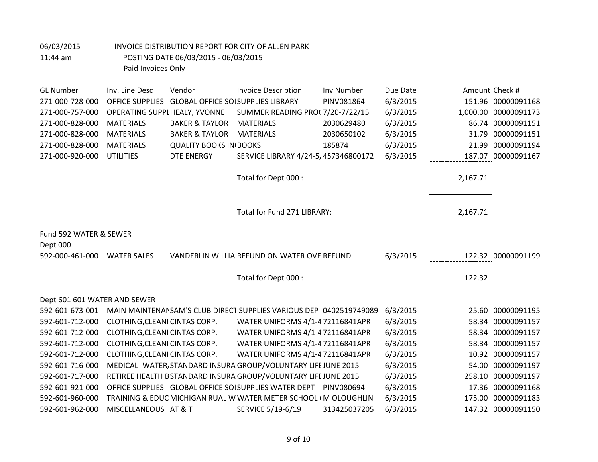| <b>GL Number</b>             | Inv. Line Desc                | Vendor                                             | <b>Invoice Description</b>                                           | Inv Number   | Due Date | Amount Check # |                      |
|------------------------------|-------------------------------|----------------------------------------------------|----------------------------------------------------------------------|--------------|----------|----------------|----------------------|
| 271-000-728-000              |                               | OFFICE SUPPLIES GLOBAL OFFICE SOI SUPPLIES LIBRARY |                                                                      | PINV081864   | 6/3/2015 |                | 151.96 00000091168   |
| 271-000-757-000              | OPERATING SUPPI HEALY, YVONNE |                                                    | SUMMER READING PROC 7/20-7/22/15                                     |              | 6/3/2015 |                | 1,000.00 00000091173 |
| 271-000-828-000              | <b>MATERIALS</b>              | <b>BAKER &amp; TAYLOR</b>                          | <b>MATERIALS</b>                                                     | 2030629480   | 6/3/2015 |                | 86.74 00000091151    |
| 271-000-828-000              | <b>MATERIALS</b>              | <b>BAKER &amp; TAYLOR</b>                          | <b>MATERIALS</b>                                                     | 2030650102   | 6/3/2015 | 31.79          | 00000091151          |
| 271-000-828-000              | <b>MATERIALS</b>              | <b>QUALITY BOOKS IN BOOKS</b>                      |                                                                      | 185874       | 6/3/2015 | 21.99          | 00000091194          |
| 271-000-920-000              | <b>UTILITIES</b>              | DTE ENERGY                                         | SERVICE LIBRARY 4/24-5/457346800172                                  |              | 6/3/2015 |                | 187.07 00000091167   |
|                              |                               |                                                    |                                                                      |              |          |                |                      |
|                              |                               |                                                    | Total for Dept 000 :                                                 |              |          | 2,167.71       |                      |
|                              |                               |                                                    |                                                                      |              |          |                |                      |
|                              |                               |                                                    |                                                                      |              |          |                |                      |
|                              |                               |                                                    | Total for Fund 271 LIBRARY:                                          |              |          | 2,167.71       |                      |
|                              |                               |                                                    |                                                                      |              |          |                |                      |
| Fund 592 WATER & SEWER       |                               |                                                    |                                                                      |              |          |                |                      |
| Dept 000                     |                               |                                                    |                                                                      |              |          |                |                      |
| 592-000-461-000              | <b>WATER SALES</b>            |                                                    | VANDERLIN WILLIA REFUND ON WATER OVE REFUND                          |              | 6/3/2015 |                | 122.32 00000091199   |
|                              |                               |                                                    |                                                                      |              |          |                |                      |
|                              |                               |                                                    | Total for Dept 000 :                                                 |              |          | 122.32         |                      |
|                              |                               |                                                    |                                                                      |              |          |                |                      |
| Dept 601 601 WATER AND SEWER |                               |                                                    |                                                                      |              |          |                |                      |
| 592-601-673-001              |                               |                                                    | MAIN MAINTENAI SAM'S CLUB DIRECT SUPPLIES VARIOUS DEP 10402519749089 |              | 6/3/2015 |                | 25.60 00000091195    |
| 592-601-712-000              | CLOTHING, CLEANI CINTAS CORP. |                                                    | WATER UNIFORMS 4/1-4 72116841APR                                     |              | 6/3/2015 |                | 58.34 00000091157    |
| 592-601-712-000              | CLOTHING, CLEANI CINTAS CORP. |                                                    | WATER UNIFORMS 4/1-4 72116841APR                                     |              | 6/3/2015 |                | 58.34 00000091157    |
| 592-601-712-000              | CLOTHING, CLEANI CINTAS CORP. |                                                    | WATER UNIFORMS 4/1-4 72116841APR                                     |              | 6/3/2015 |                | 58.34 00000091157    |
| 592-601-712-000              | CLOTHING, CLEANI CINTAS CORP. |                                                    | WATER UNIFORMS 4/1-4 72116841APR                                     |              | 6/3/2015 |                | 10.92 00000091157    |
| 592-601-716-000              |                               |                                                    | MEDICAL- WATER, STANDARD INSURA GROUP/VOLUNTARY LIFE JUNE 2015       |              | 6/3/2015 | 54.00          | 00000091197          |
| 592-601-717-000              |                               |                                                    | RETIREE HEALTH B STANDARD INSURA GROUP/VOLUNTARY LIFE JUNE 2015      |              | 6/3/2015 | 258.10         | 00000091197          |
| 592-601-921-000              |                               |                                                    | OFFICE SUPPLIES GLOBAL OFFICE SOISUPPLIES WATER DEPT PINV080694      |              | 6/3/2015 |                | 17.36 00000091168    |
| 592-601-960-000              |                               |                                                    | TRAINING & EDUC MICHIGAN RUAL W WATER METER SCHOOL (M OLOUGHLIN      |              | 6/3/2015 | 175.00         | 00000091183          |
| 592-601-962-000              | MISCELLANEOUS AT & T          |                                                    | SERVICE 5/19-6/19                                                    | 313425037205 | 6/3/2015 |                | 147.32 00000091150   |